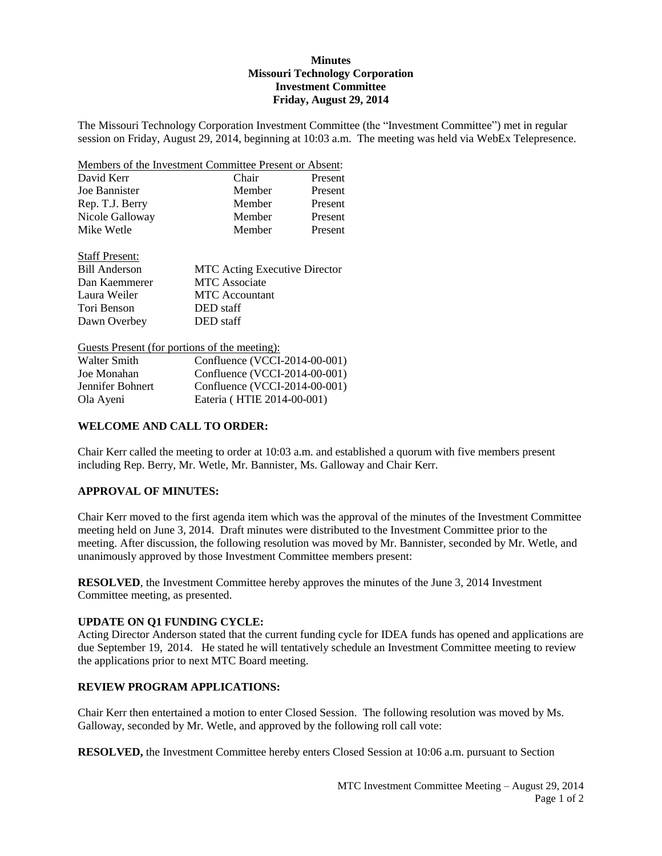# **Minutes Missouri Technology Corporation Investment Committee Friday, August 29, 2014**

The Missouri Technology Corporation Investment Committee (the "Investment Committee") met in regular session on Friday, August 29, 2014, beginning at 10:03 a.m. The meeting was held via WebEx Telepresence.

| Members of the Investment Committee Present or Absent: |        |         |
|--------------------------------------------------------|--------|---------|
| David Kerr                                             | Chair  | Present |
| Joe Bannister                                          | Member | Present |
| Rep. T.J. Berry                                        | Member | Present |
| Nicole Galloway                                        | Member | Present |
| Mike Wetle                                             | Member | Present |

| <b>Staff Present:</b> |                                      |
|-----------------------|--------------------------------------|
| <b>Bill Anderson</b>  | <b>MTC</b> Acting Executive Director |
| Dan Kaemmerer         | <b>MTC</b> Associate                 |
| Laura Weiler          | <b>MTC</b> Accountant                |
| Tori Benson           | DED staff                            |
| Dawn Overbey          | DED staff                            |

Guests Present (for portions of the meeting):

| Walter Smith     | Confluence (VCCI-2014-00-001) |
|------------------|-------------------------------|
| Joe Monahan      | Confluence (VCCI-2014-00-001) |
| Jennifer Bohnert | Confluence (VCCI-2014-00-001) |
| Ola Ayeni        | Eateria (HTIE 2014-00-001)    |

# **WELCOME AND CALL TO ORDER:**

Chair Kerr called the meeting to order at 10:03 a.m. and established a quorum with five members present including Rep. Berry, Mr. Wetle, Mr. Bannister, Ms. Galloway and Chair Kerr.

# **APPROVAL OF MINUTES:**

Chair Kerr moved to the first agenda item which was the approval of the minutes of the Investment Committee meeting held on June 3, 2014. Draft minutes were distributed to the Investment Committee prior to the meeting. After discussion, the following resolution was moved by Mr. Bannister, seconded by Mr. Wetle, and unanimously approved by those Investment Committee members present:

**RESOLVED**, the Investment Committee hereby approves the minutes of the June 3, 2014 Investment Committee meeting, as presented.

### **UPDATE ON Q1 FUNDING CYCLE:**

Acting Director Anderson stated that the current funding cycle for IDEA funds has opened and applications are due September 19, 2014. He stated he will tentatively schedule an Investment Committee meeting to review the applications prior to next MTC Board meeting.

# **REVIEW PROGRAM APPLICATIONS:**

Chair Kerr then entertained a motion to enter Closed Session. The following resolution was moved by Ms. Galloway, seconded by Mr. Wetle, and approved by the following roll call vote:

**RESOLVED,** the Investment Committee hereby enters Closed Session at 10:06 a.m. pursuant to Section